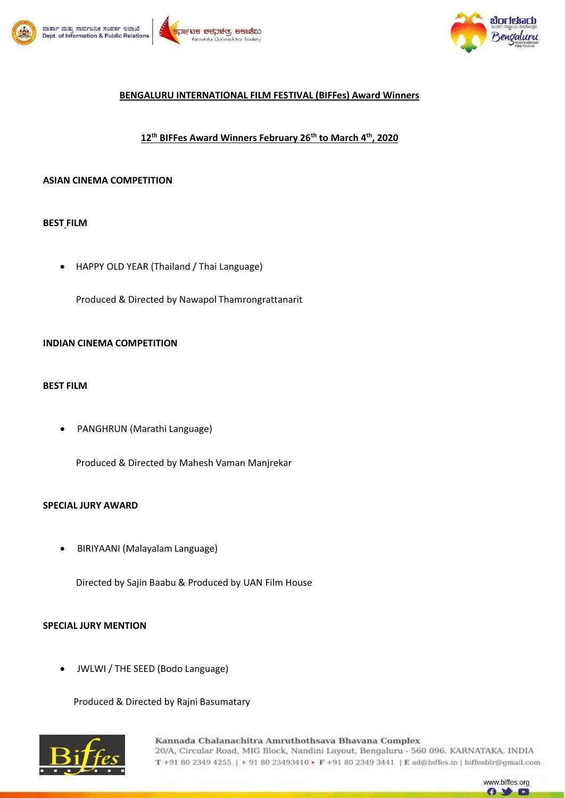





## **BENGALURU INTERNATIONAL FILM FESTIVAL (BIFFes) Award Winners**

**12th BIFFes Award Winners February 26th to March 4th, 2020**

#### **ASIAN CINEMA COMPETITION**

#### **BEST FILM**

HAPPY OLD YEAR (Thailand / Thai Language)

Produced & Directed by Nawapol Thamrongrattanarit

### **INDIAN CINEMA COMPETITION**

#### **BEST FILM**

PANGHRUN (Marathi Language)

Produced & Directed by Mahesh Vaman Manjrekar

### **SPECIAL JURY AWARD**

BIRIYAANI (Malayalam Language)

Directed by Sajin Baabu & Produced by UAN Film House

### **SPECIAL JURY MENTION**

JWLWI / THE SEED (Bodo Language)

Produced & Directed by Rajni Basumatary



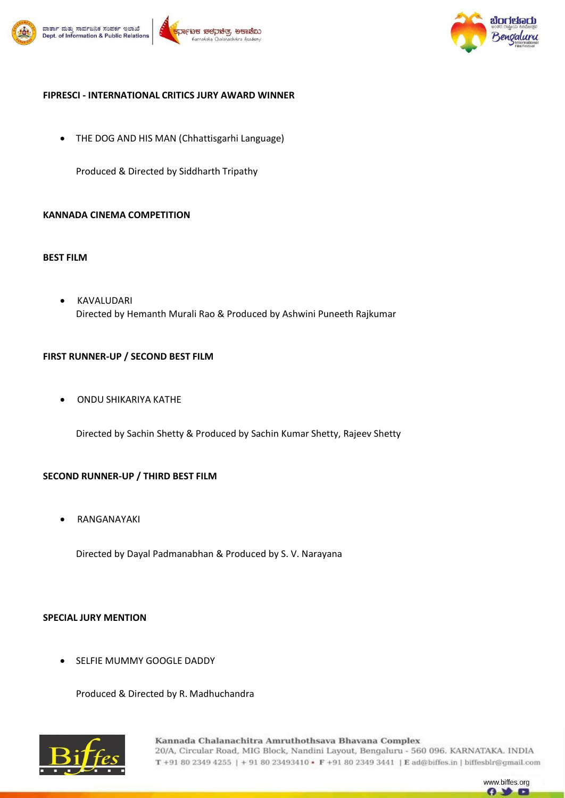





## **FIPRESCI - INTERNATIONAL CRITICS JURY AWARD WINNER**

THE DOG AND HIS MAN (Chhattisgarhi Language)

Produced & Directed by Siddharth Tripathy

## **KANNADA CINEMA COMPETITION**

#### **BEST FILM**

 KAVALUDARI Directed by Hemanth Murali Rao & Produced by Ashwini Puneeth Rajkumar

### **FIRST RUNNER-UP / SECOND BEST FILM**

ONDU SHIKARIYA KATHE

Directed by Sachin Shetty & Produced by Sachin Kumar Shetty, Rajeev Shetty

## **SECOND RUNNER-UP / THIRD BEST FILM**

RANGANAYAKI

Directed by Dayal Padmanabhan & Produced by S. V. Narayana

### **SPECIAL JURY MENTION**

SELFIE MUMMY GOOGLE DADDY

Produced & Directed by R. Madhuchandra



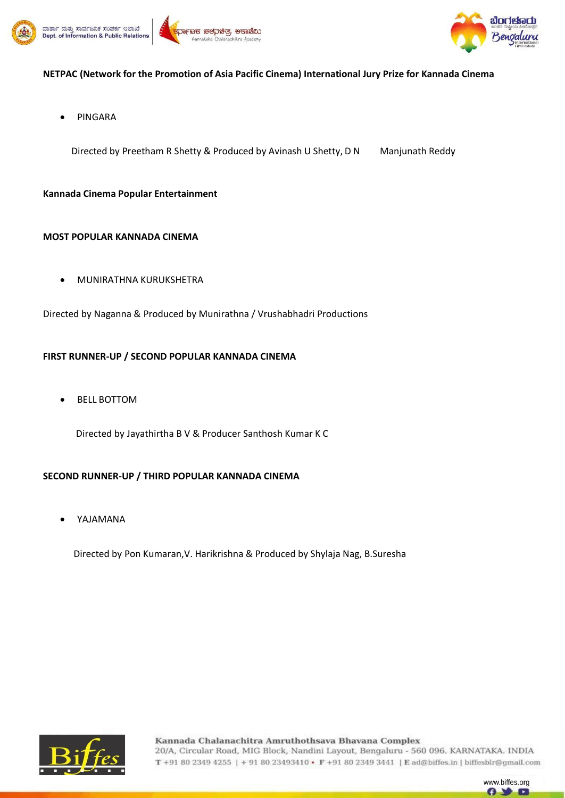





## **NETPAC (Network for the Promotion of Asia Pacific Cinema) International Jury Prize for Kannada Cinema**

hitra Academy

PINGARA

Directed by Preetham R Shetty & Produced by Avinash U Shetty, D N Manjunath Reddy

### **Kannada Cinema Popular Entertainment**

### **MOST POPULAR KANNADA CINEMA**

MUNIRATHNA KURUKSHETRA

Directed by Naganna & Produced by Munirathna / Vrushabhadri Productions

## **FIRST RUNNER-UP / SECOND POPULAR KANNADA CINEMA**

BELL BOTTOM

Directed by Jayathirtha B V & Producer Santhosh Kumar K C

## **SECOND RUNNER-UP / THIRD POPULAR KANNADA CINEMA**

YAJAMANA

Directed by Pon Kumaran,V. Harikrishna & Produced by Shylaja Nag, B.Suresha



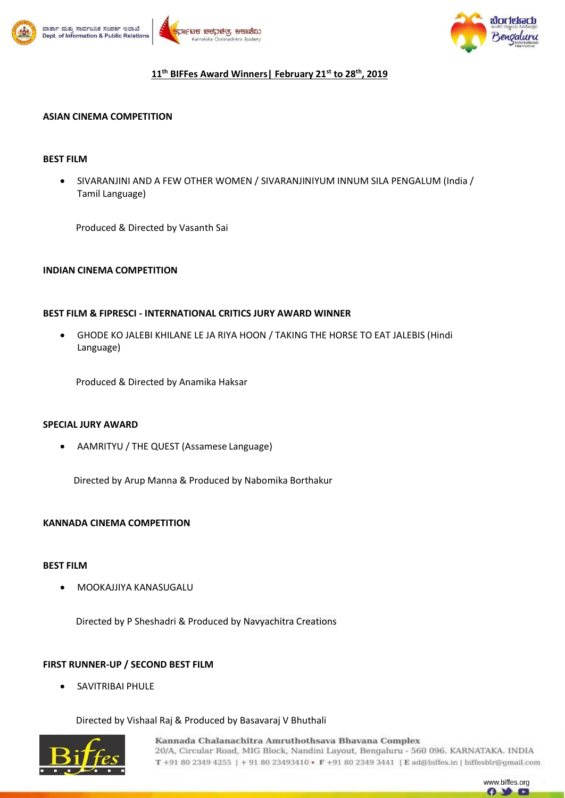







# **11th BIFFes Award Winners| February 21st to 28th, 2019**

## **ASIAN CINEMA COMPETITION**

#### **BEST FILM**

 SIVARANJINI AND A FEW OTHER WOMEN / SIVARANJINIYUM INNUM SILA PENGALUM (India / Tamil Language)

Produced & Directed by Vasanth Sai

#### **INDIAN CINEMA COMPETITION**

#### **BEST FILM & FIPRESCI - INTERNATIONAL CRITICS JURY AWARD WINNER**

 GHODE KO JALEBI KHILANE LE JA RIYA HOON / TAKING THE HORSE TO EAT JALEBIS (Hindi Language)

Produced & Directed by Anamika Haksar

## **SPECIAL JURY AWARD**

AAMRITYU / THE QUEST (Assamese Language)

Directed by Arup Manna & Produced by Nabomika Borthakur

### **KANNADA CINEMA COMPETITION**

#### **BEST FILM**

MOOKAJJIYA KANASUGALU

Directed by P Sheshadri & Produced by Navyachitra Creations

### **FIRST RUNNER-UP / SECOND BEST FILM**

SAVITRIBAI PHULE

Directed by Vishaal Raj & Produced by Basavaraj V Bhuthali



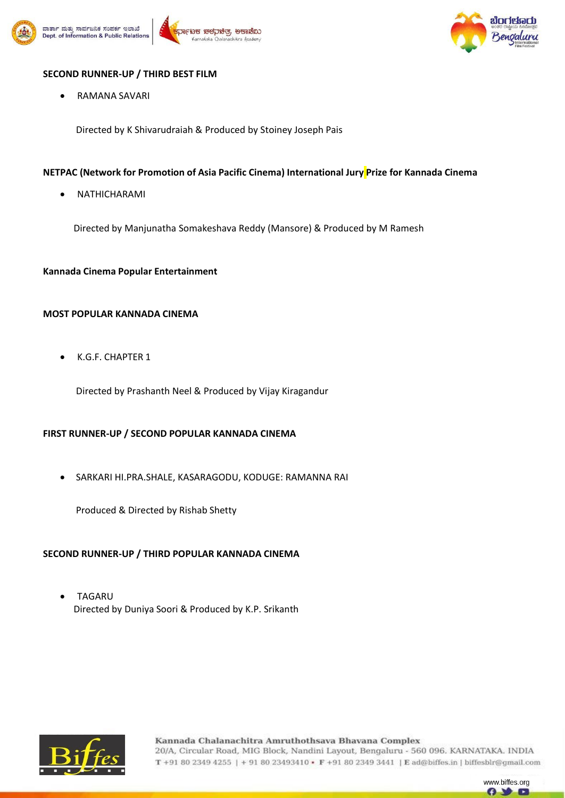





# **SECOND RUNNER-UP / THIRD BEST FILM**

RAMANA SAVARI

Directed by K Shivarudraiah & Produced by Stoiney Joseph Pais

# **NETPAC (Network for Promotion of Asia Pacific Cinema) International Jury Prize for Kannada Cinema**

NATHICHARAMI

Directed by Manjunatha Somakeshava Reddy (Mansore) & Produced by M Ramesh

## **Kannada Cinema Popular Entertainment**

## **MOST POPULAR KANNADA CINEMA**

K.G.F. CHAPTER 1

Directed by Prashanth Neel & Produced by Vijay Kiragandur

## **FIRST RUNNER-UP / SECOND POPULAR KANNADA CINEMA**

SARKARI HI.PRA.SHALE, KASARAGODU, KODUGE: RAMANNA RAI

Produced & Directed by Rishab Shetty

## **SECOND RUNNER-UP / THIRD POPULAR KANNADA CINEMA**

 TAGARU Directed by Duniya Soori & Produced by K.P. Srikanth



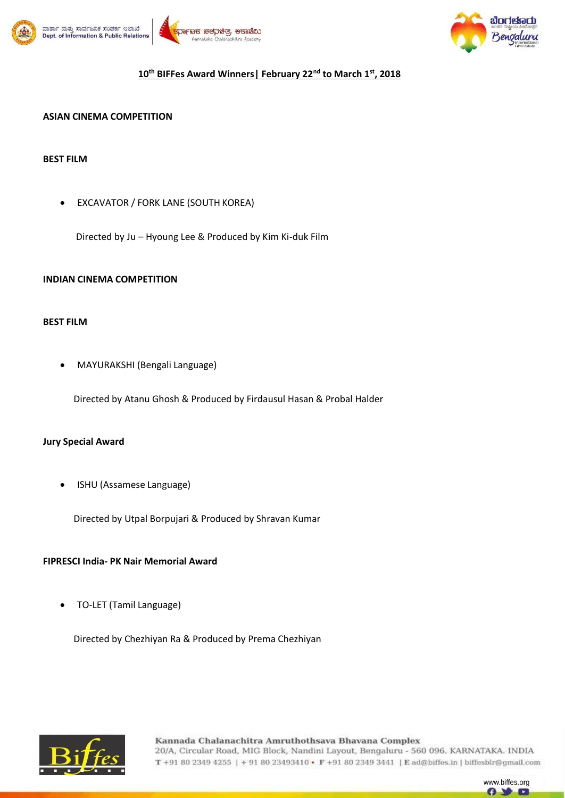



# **10th BIFFes Award Winners| February 22nd to March 1st, 2018**

## **ASIAN CINEMA COMPETITION**

#### **BEST FILM**

EXCAVATOR / FORK LANE (SOUTH KOREA)

Directed by Ju – Hyoung Lee & Produced by Kim Ki-duk Film

### **INDIAN CINEMA COMPETITION**

#### **BEST FILM**

MAYURAKSHI (Bengali Language)

Directed by Atanu Ghosh & Produced by Firdausul Hasan & Probal Halder

### **Jury Special Award**

ISHU (Assamese Language)

Directed by Utpal Borpujari & Produced by Shravan Kumar

### **FIPRESCI India- PK Nair Memorial Award**

TO-LET (Tamil Language)

Directed by Chezhiyan Ra & Produced by Prema Chezhiyan



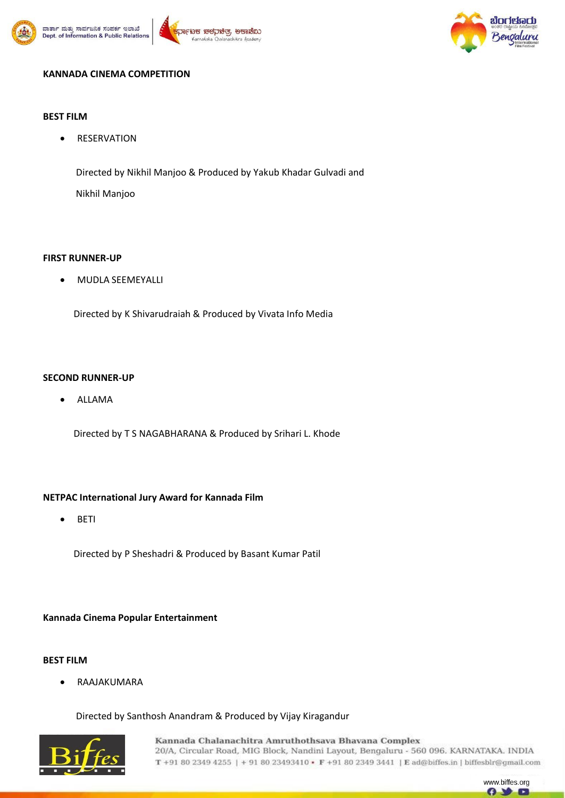







## **KANNADA CINEMA COMPETITION**

### **BEST FILM**

**•** RESERVATION

Directed by Nikhil Manjoo & Produced by Yakub Khadar Gulvadi and Nikhil Manjoo

#### **FIRST RUNNER-UP**

MUDLA SEEMEYALLI

Directed by K Shivarudraiah & Produced by Vivata Info Media

### **SECOND RUNNER-UP**

ALLAMA

Directed by T S NAGABHARANA & Produced by Srihari L. Khode

### **NETPAC International Jury Award for Kannada Film**

• BETI

Directed by P Sheshadri & Produced by Basant Kumar Patil

## **Kannada Cinema Popular Entertainment**

### **BEST FILM**

RAAJAKUMARA

Directed by Santhosh Anandram & Produced by Vijay Kiragandur



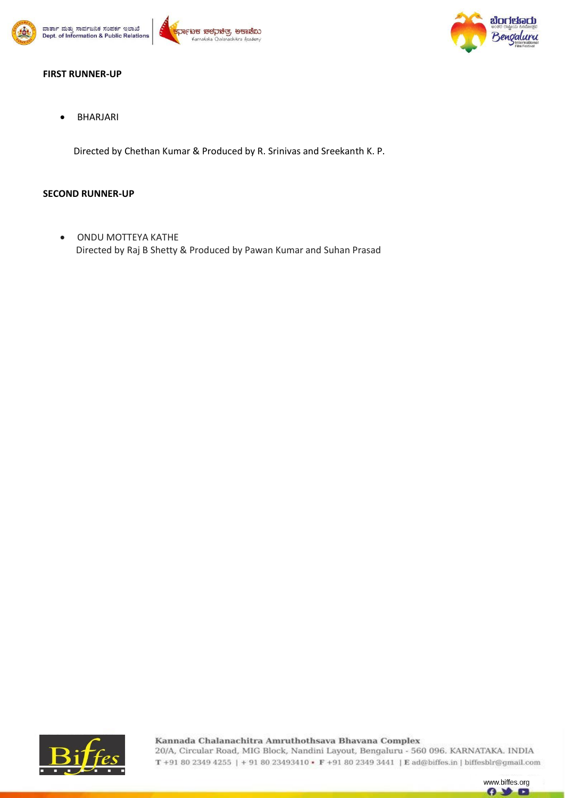





### **FIRST RUNNER-UP**

BHARJARI

Directed by Chethan Kumar & Produced by R. Srinivas and Sreekanth K. P.

## **SECOND RUNNER-UP**

 ONDU MOTTEYA KATHE Directed by Raj B Shetty & Produced by Pawan Kumar and Suhan Prasad



Kannada Chalanachitra Amruthothsava Bhavana Complex 20/A, Circular Road, MIG Block, Nandini Layout, Bengaluru - 560 096. KARNATAKA. INDIA T +91 80 2349 4255 | + 91 80 23493410 • F +91 80 2349 3441 | E ad@biffes.in | biffesblr@gmail.com

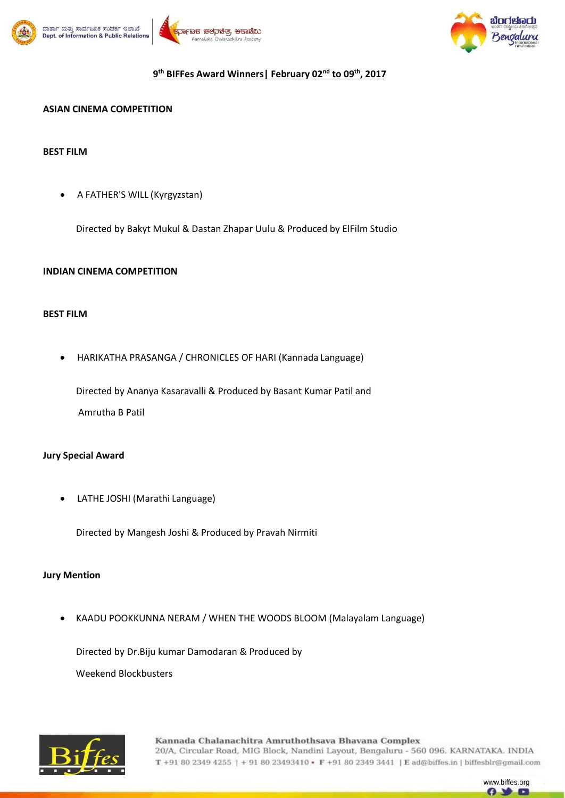







# **9 th BIFFes Award Winners| February 02nd to 09th, 2017**

## **ASIAN CINEMA COMPETITION**

#### **BEST FILM**

A FATHER'S WILL (Kyrgyzstan)

Directed by Bakyt Mukul & Dastan Zhapar Uulu & Produced by ElFilm Studio

### **INDIAN CINEMA COMPETITION**

#### **BEST FILM**

HARIKATHA PRASANGA / CHRONICLES OF HARI (Kannada Language)

Directed by Ananya Kasaravalli & Produced by Basant Kumar Patil and Amrutha B Patil

### **Jury Special Award**

LATHE JOSHI (Marathi Language)

Directed by Mangesh Joshi & Produced by Pravah Nirmiti

## **Jury Mention**

KAADU POOKKUNNA NERAM / WHEN THE WOODS BLOOM (Malayalam Language)

Directed by Dr.Biju kumar Damodaran & Produced by

Weekend Blockbusters



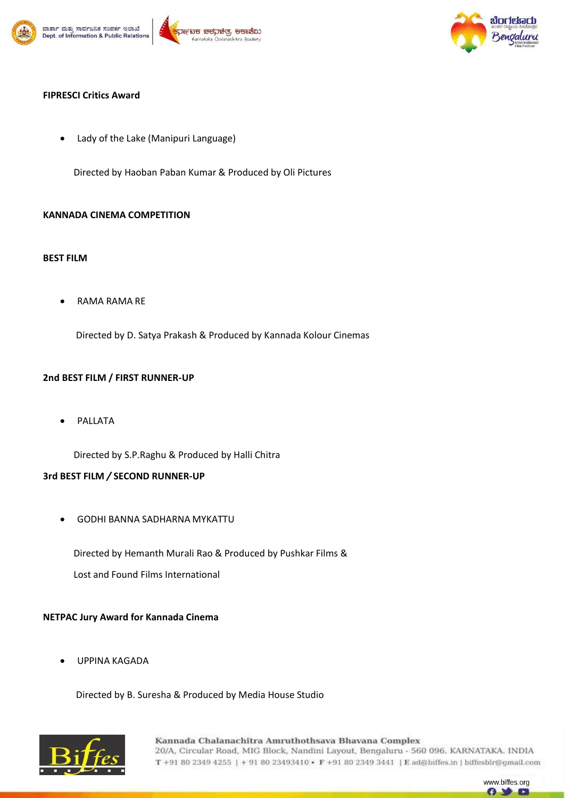



itra Academy



## **FIPRESCI Critics Award**

Lady of the Lake (Manipuri Language)

Directed by Haoban Paban Kumar & Produced by Oli Pictures

## **KANNADA CINEMA COMPETITION**

## **BEST FILM**

RAMA RAMA RE

Directed by D. Satya Prakash & Produced by Kannada Kolour Cinemas

## **2nd BEST FILM / FIRST RUNNER-UP**

PALLATA

Directed by S.P.Raghu & Produced by Halli Chitra

## **3rd BEST FILM** */* **SECOND RUNNER-UP**

GODHI BANNA SADHARNA MYKATTU

Directed by Hemanth Murali Rao & Produced by Pushkar Films & Lost and Found Films International

## **NETPAC Jury Award for Kannada Cinema**

UPPINA KAGADA

Directed by B. Suresha & Produced by Media House Studio



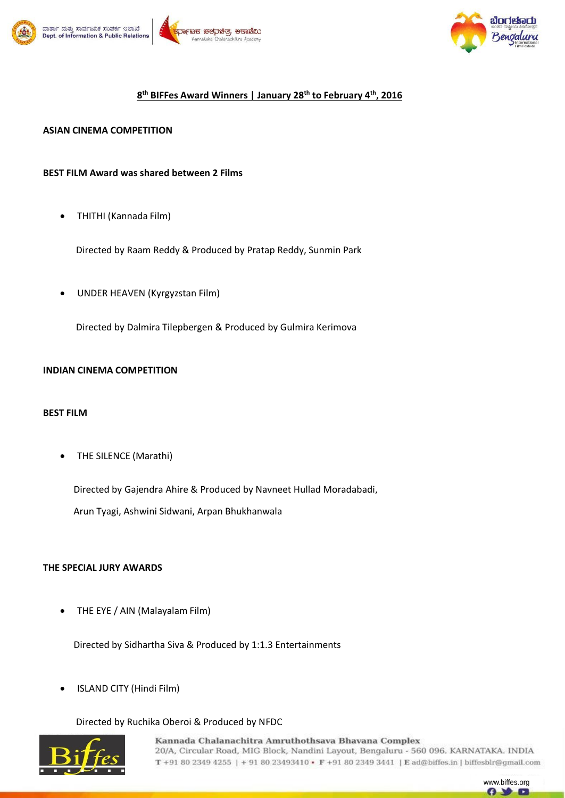





# **8 th BIFFes Award Winners | January 28th to February 4th, 2016**

### **ASIAN CINEMA COMPETITION**

### **BEST FILM Award was shared between 2 Films**

THITHI (Kannada Film)

Directed by Raam Reddy & Produced by Pratap Reddy, Sunmin Park

UNDER HEAVEN (Kyrgyzstan Film)

Directed by Dalmira Tilepbergen & Produced by Gulmira Kerimova

### **INDIAN CINEMA COMPETITION**

### **BEST FILM**

THE SILENCE (Marathi)

Directed by Gajendra Ahire & Produced by Navneet Hullad Moradabadi, Arun Tyagi, Ashwini Sidwani, Arpan Bhukhanwala

### **THE SPECIAL JURY AWARDS**

THE EYE / AIN (Malayalam Film)

Directed by Sidhartha Siva & Produced by 1:1.3 Entertainments

ISLAND CITY (Hindi Film)

Directed by Ruchika Oberoi & Produced by NFDC



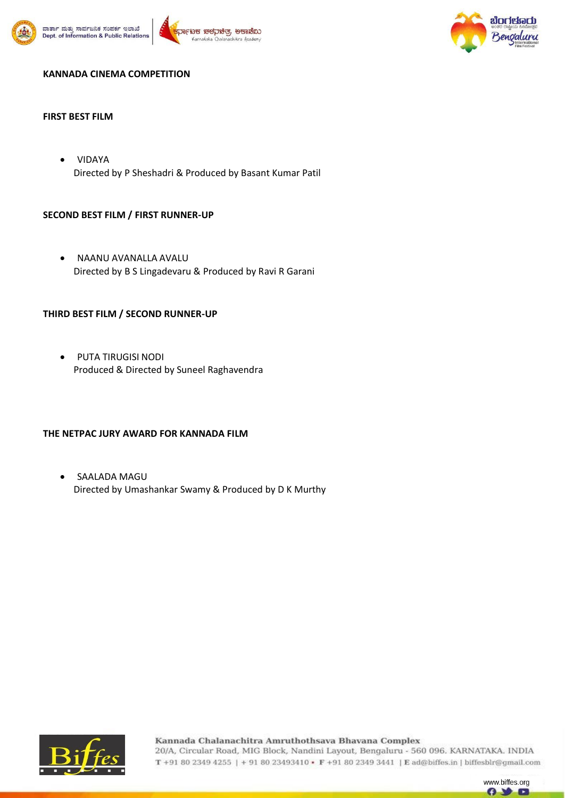







## **KANNADA CINEMA COMPETITION**

### **FIRST BEST FILM**

 VIDAYA Directed by P Sheshadri & Produced by Basant Kumar Patil

## **SECOND BEST FILM / FIRST RUNNER-UP**

 NAANU AVANALLA AVALU Directed by B S Lingadevaru & Produced by Ravi R Garani

### **THIRD BEST FILM / SECOND RUNNER-UP**

 PUTA TIRUGISI NODI Produced & Directed by Suneel Raghavendra

### **THE NETPAC JURY AWARD FOR KANNADA FILM**

 SAALADA MAGU Directed by Umashankar Swamy & Produced by D K Murthy



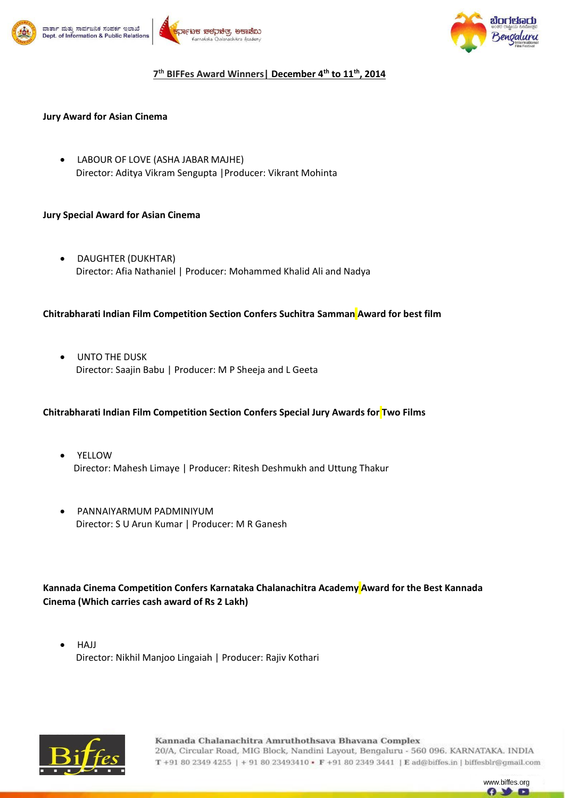





# **7 th BIFFes Award Winners| December 4th to 11th, 2014**

## **Jury Award for Asian Cinema**

 LABOUR OF LOVE (ASHA JABAR MAJHE) Director: Aditya Vikram Sengupta |Producer: Vikrant Mohinta

## **Jury Special Award for Asian Cinema**

 DAUGHTER (DUKHTAR) Director: Afia Nathaniel | Producer: Mohammed Khalid Ali and Nadya

## **Chitrabharati Indian Film Competition Section Confers Suchitra Samman Award for best film**

 UNTO THE DUSK Director: Saajin Babu | Producer: M P Sheeja and L Geeta

## **Chitrabharati Indian Film Competition Section Confers Special Jury Awards for Two Films**

- YELLOW Director: Mahesh Limaye | Producer: Ritesh Deshmukh and Uttung Thakur
- PANNAIYARMUM PADMINIYUM Director: S U Arun Kumar | Producer: M R Ganesh

**Kannada Cinema Competition Confers Karnataka Chalanachitra Academy Award for the Best Kannada Cinema (Which carries cash award of Rs 2 Lakh)**

 HAJJ Director: Nikhil Manjoo Lingaiah | Producer: Rajiv Kothari



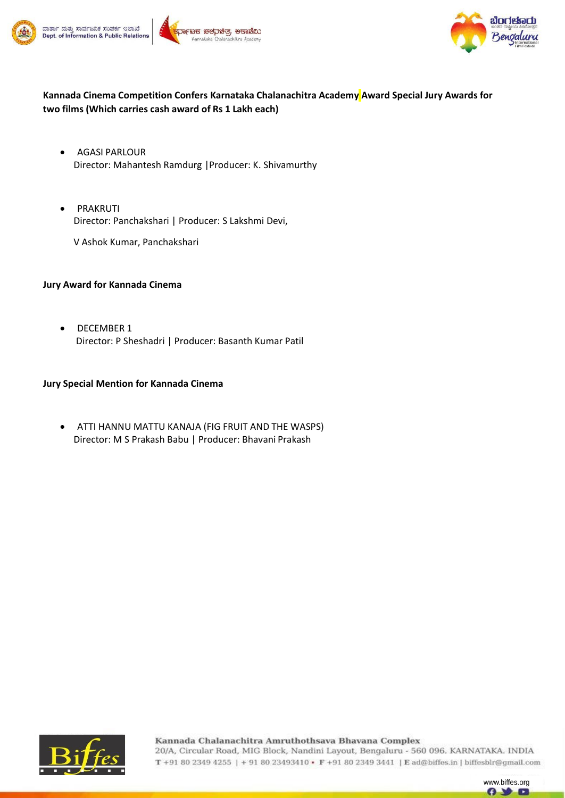





**Kannada Cinema Competition Confers Karnataka Chalanachitra Academy Award Special Jury Awards for two films (Which carries cash award of Rs 1 Lakh each)**

- AGASI PARLOUR Director: Mahantesh Ramdurg |Producer: K. Shivamurthy
- **•** PRAKRUTI Director: Panchakshari | Producer: S Lakshmi Devi,

V Ashok Kumar, Panchakshari

## **Jury Award for Kannada Cinema**

• DECEMBER 1 Director: P Sheshadri | Producer: Basanth Kumar Patil

## **Jury Special Mention for Kannada Cinema**

 ATTI HANNU MATTU KANAJA (FIG FRUIT AND THE WASPS) Director: M S Prakash Babu | Producer: Bhavani Prakash



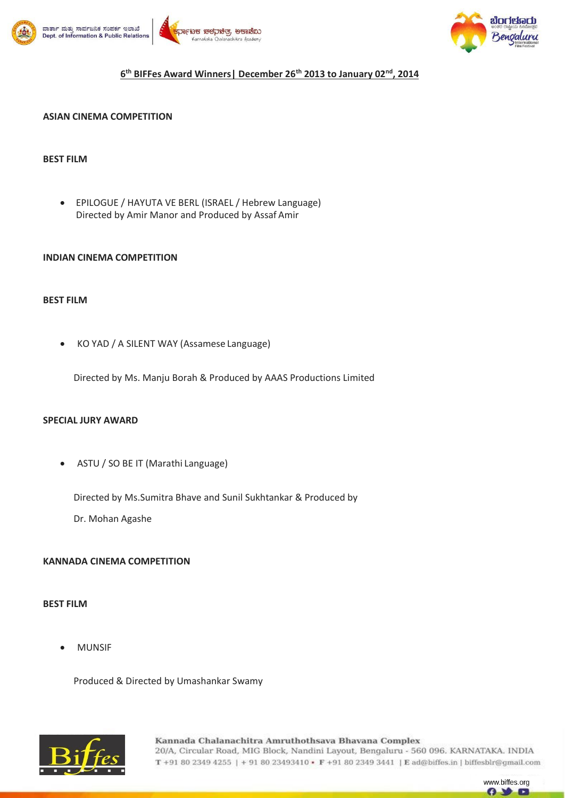





# **6 th BIFFes Award Winners| December 26th 2013 to January 02nd, 2014**

### **ASIAN CINEMA COMPETITION**

#### **BEST FILM**

 EPILOGUE / HAYUTA VE BERL (ISRAEL / Hebrew Language) Directed by Amir Manor and Produced by Assaf Amir

#### **INDIAN CINEMA COMPETITION**

#### **BEST FILM**

KO YAD / A SILENT WAY (Assamese Language)

Directed by Ms. Manju Borah & Produced by AAAS Productions Limited

#### **SPECIAL JURY AWARD**

ASTU / SO BE IT (Marathi Language)

Directed by Ms.Sumitra Bhave and Sunil Sukhtankar & Produced by

Dr. Mohan Agashe

### **KANNADA CINEMA COMPETITION**

#### **BEST FILM**

MUNSIF

Produced & Directed by Umashankar Swamy



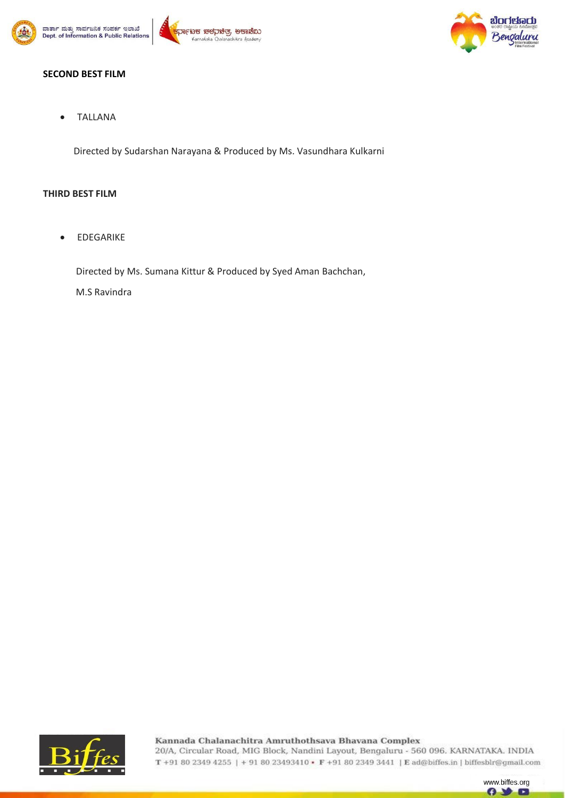







## **SECOND BEST FILM**

TALLANA

Directed by Sudarshan Narayana & Produced by Ms. Vasundhara Kulkarni

## **THIRD BEST FILM**

EDEGARIKE

Directed by Ms. Sumana Kittur & Produced by Syed Aman Bachchan,

M.S Ravindra



Kannada Chalanachitra Amruthothsava Bhavana Complex 20/A, Circular Road, MIG Block, Nandini Layout, Bengaluru - 560 096. KARNATAKA. INDIA T +91 80 2349 4255 | + 91 80 23493410 • F +91 80 2349 3441 | E ad@biffes.in | biffesblr@gmail.com

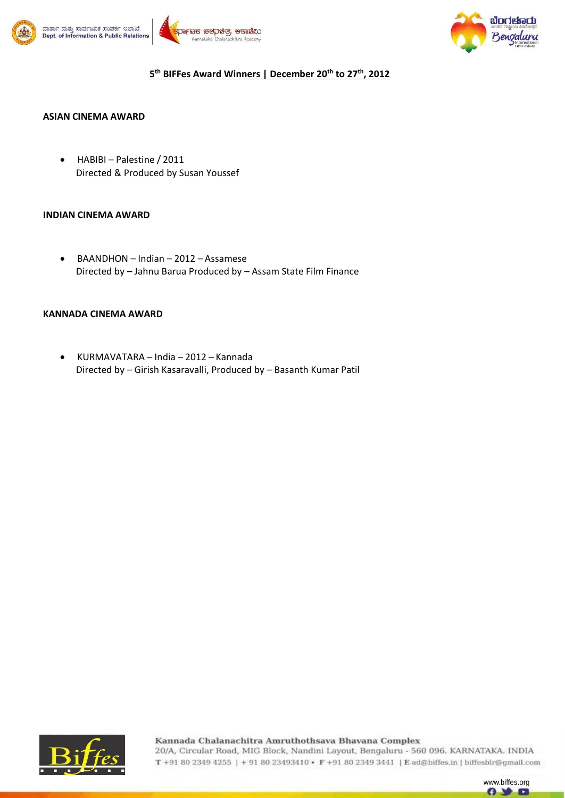







# **5 th BIFFes Award Winners | December 20th to 27th, 2012**

## **ASIAN CINEMA AWARD**

 HABIBI – Palestine / 2011 Directed & Produced by Susan Youssef

## **INDIAN CINEMA AWARD**

 BAANDHON – Indian – 2012 – Assamese Directed by – Jahnu Barua Produced by – Assam State Film Finance

#### **KANNADA CINEMA AWARD**

 KURMAVATARA – India – 2012 – Kannada Directed by – Girish Kasaravalli, Produced by – Basanth Kumar Patil